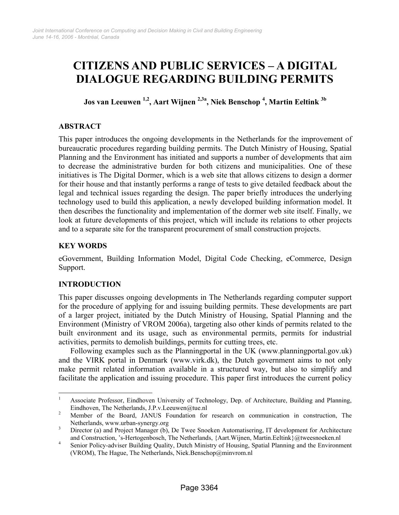# **CITIZENS AND PUBLIC SERVICES – A DIGITAL DIALOGUE REGARDING BUILDING PERMITS**

**Jos van Leeuwen 1,2, Aart Wijnen 2,3a, Niek Benschop 4 , Martin Eeltink 3b**

# **ABSTRACT**

This paper introduces the ongoing developments in the Netherlands for the improvement of bureaucratic procedures regarding building permits. The Dutch Ministry of Housing, Spatial Planning and the Environment has initiated and supports a number of developments that aim to decrease the administrative burden for both citizens and municipalities. One of these initiatives is The Digital Dormer, which is a web site that allows citizens to design a dormer for their house and that instantly performs a range of tests to give detailed feedback about the legal and technical issues regarding the design. The paper briefly introduces the underlying technology used to build this application, a newly developed building information model. It then describes the functionality and implementation of the dormer web site itself. Finally, we look at future developments of this project, which will include its relations to other projects and to a separate site for the transparent procurement of small construction projects.

# **KEY WORDS**

eGovernment, Building Information Model, Digital Code Checking, eCommerce, Design Support.

# **INTRODUCTION**

This paper discusses ongoing developments in The Netherlands regarding computer support for the procedure of applying for and issuing building permits. These developments are part of a larger project, initiated by the Dutch Ministry of Housing, Spatial Planning and the Environment (Ministry of VROM 2006a), targeting also other kinds of permits related to the built environment and its usage, such as environmental permits, permits for industrial activities, permits to demolish buildings, permits for cutting trees, etc.

Following examples such as the Planningportal in the UK (www.planningportal.gov.uk) and the VIRK portal in Denmark (www.virk.dk), the Dutch government aims to not only make permit related information available in a structured way, but also to simplify and facilitate the application and issuing procedure. This paper first introduces the current policy

 $\frac{1}{1}$  Associate Professor, Eindhoven University of Technology, Dep. of Architecture, Building and Planning, Eindhoven, The Netherlands, J.P.v.Leeuwen@tue.nl<br>2. Manufacture.of the December LANUE Franchises for

Member of the Board, JANUS Foundation for research on communication in construction, The Netherlands, www.urban-synergy.org

Director (a) and Project Manager (b), De Twee Snoeken Automatisering, IT development for Architecture and Construction, 's-Hertogenbosch, The Netherlands, {Aart.Wijnen, Martin.Eeltink}@tweesnoeken.nl 4<br>A Sonice Policy edvisor Puilding Quelity, Dutch Ministry of Housing, Spotial Planning and the Environment

Senior Policy-adviser Building Quality, Dutch Ministry of Housing, Spatial Planning and the Environment (VROM), The Hague, The Netherlands, Niek.Benschop@minvrom.nl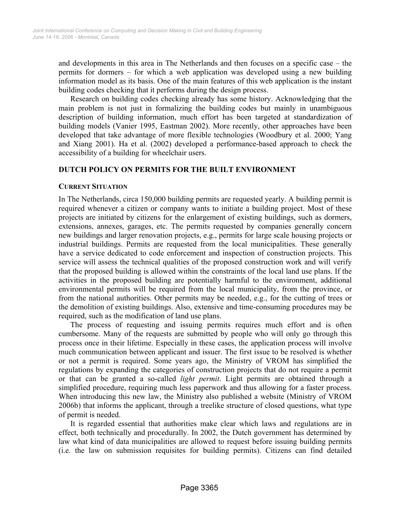and developments in this area in The Netherlands and then focuses on a specific case – the permits for dormers – for which a web application was developed using a new building information model as its basis. One of the main features of this web application is the instant building codes checking that it performs during the design process.

Research on building codes checking already has some history. Acknowledging that the main problem is not just in formalizing the building codes but mainly in unambiguous description of building information, much effort has been targeted at standardization of building models (Vanier 1995, Eastman 2002). More recently, other approaches have been developed that take advantage of more flexible technologies (Woodbury et al. 2000; Yang and Xiang 2001). Ha et al. (2002) developed a performance-based approach to check the accessibility of a building for wheelchair users.

# **DUTCH POLICY ON PERMITS FOR THE BUILT ENVIRONMENT**

#### **CURRENT SITUATION**

In The Netherlands, circa 150,000 building permits are requested yearly. A building permit is required whenever a citizen or company wants to initiate a building project. Most of these projects are initiated by citizens for the enlargement of existing buildings, such as dormers, extensions, annexes, garages, etc. The permits requested by companies generally concern new buildings and larger renovation projects, e.g., permits for large scale housing projects or industrial buildings. Permits are requested from the local municipalities. These generally have a service dedicated to code enforcement and inspection of construction projects. This service will assess the technical qualities of the proposed construction work and will verify that the proposed building is allowed within the constraints of the local land use plans. If the activities in the proposed building are potentially harmful to the environment, additional environmental permits will be required from the local municipality, from the province, or from the national authorities. Other permits may be needed, e.g., for the cutting of trees or the demolition of existing buildings. Also, extensive and time-consuming procedures may be required, such as the modification of land use plans.

The process of requesting and issuing permits requires much effort and is often cumbersome. Many of the requests are submitted by people who will only go through this process once in their lifetime. Especially in these cases, the application process will involve much communication between applicant and issuer. The first issue to be resolved is whether or not a permit is required. Some years ago, the Ministry of VROM has simplified the regulations by expanding the categories of construction projects that do not require a permit or that can be granted a so-called *light permit*. Light permits are obtained through a simplified procedure, requiring much less paperwork and thus allowing for a faster process. When introducing this new law, the Ministry also published a website (Ministry of VROM 2006b) that informs the applicant, through a treelike structure of closed questions, what type of permit is needed.

It is regarded essential that authorities make clear which laws and regulations are in effect, both technically and procedurally. In 2002, the Dutch government has determined by law what kind of data municipalities are allowed to request before issuing building permits (i.e. the law on submission requisites for building permits). Citizens can find detailed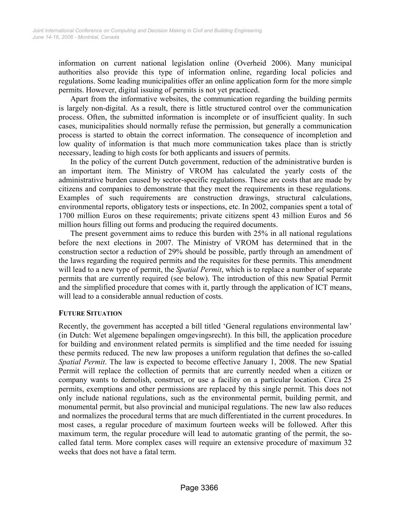information on current national legislation online (Overheid 2006). Many municipal authorities also provide this type of information online, regarding local policies and regulations. Some leading municipalities offer an online application form for the more simple permits. However, digital issuing of permits is not yet practiced.

Apart from the informative websites, the communication regarding the building permits is largely non-digital. As a result, there is little structured control over the communication process. Often, the submitted information is incomplete or of insufficient quality. In such cases, municipalities should normally refuse the permission, but generally a communication process is started to obtain the correct information. The consequence of incompletion and low quality of information is that much more communication takes place than is strictly necessary, leading to high costs for both applicants and issuers of permits.

In the policy of the current Dutch government, reduction of the administrative burden is an important item. The Ministry of VROM has calculated the yearly costs of the administrative burden caused by sector-specific regulations. These are costs that are made by citizens and companies to demonstrate that they meet the requirements in these regulations. Examples of such requirements are construction drawings, structural calculations, environmental reports, obligatory tests or inspections, etc. In 2002, companies spent a total of 1700 million Euros on these requirements; private citizens spent 43 million Euros and 56 million hours filling out forms and producing the required documents.

The present government aims to reduce this burden with 25% in all national regulations before the next elections in 2007. The Ministry of VROM has determined that in the construction sector a reduction of 29% should be possible, partly through an amendment of the laws regarding the required permits and the requisites for these permits. This amendment will lead to a new type of permit, the *Spatial Permit*, which is to replace a number of separate permits that are currently required (see below). The introduction of this new Spatial Permit and the simplified procedure that comes with it, partly through the application of ICT means, will lead to a considerable annual reduction of costs.

#### **FUTURE SITUATION**

Recently, the government has accepted a bill titled 'General regulations environmental law' (in Dutch: Wet algemene bepalingen omgevingsrecht). In this bill, the application procedure for building and environment related permits is simplified and the time needed for issuing these permits reduced. The new law proposes a uniform regulation that defines the so-called *Spatial Permit*. The law is expected to become effective January 1, 2008. The new Spatial Permit will replace the collection of permits that are currently needed when a citizen or company wants to demolish, construct, or use a facility on a particular location. Circa 25 permits, exemptions and other permissions are replaced by this single permit. This does not only include national regulations, such as the environmental permit, building permit, and monumental permit, but also provincial and municipal regulations. The new law also reduces and normalizes the procedural terms that are much differentiated in the current procedures. In most cases, a regular procedure of maximum fourteen weeks will be followed. After this maximum term, the regular procedure will lead to automatic granting of the permit, the socalled fatal term. More complex cases will require an extensive procedure of maximum 32 weeks that does not have a fatal term.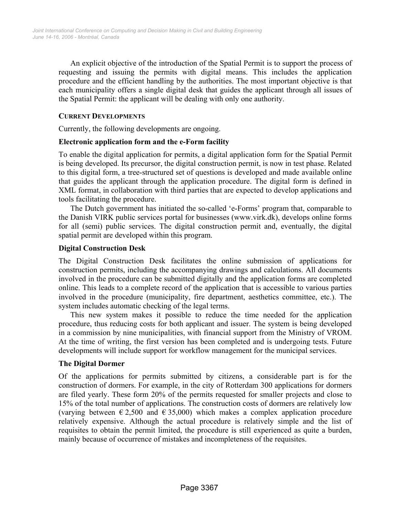An explicit objective of the introduction of the Spatial Permit is to support the process of requesting and issuing the permits with digital means. This includes the application procedure and the efficient handling by the authorities. The most important objective is that each municipality offers a single digital desk that guides the applicant through all issues of the Spatial Permit: the applicant will be dealing with only one authority.

## **CURRENT DEVELOPMENTS**

Currently, the following developments are ongoing.

#### **Electronic application form and the e-Form facility**

To enable the digital application for permits, a digital application form for the Spatial Permit is being developed. Its precursor, the digital construction permit, is now in test phase. Related to this digital form, a tree-structured set of questions is developed and made available online that guides the applicant through the application procedure. The digital form is defined in XML format, in collaboration with third parties that are expected to develop applications and tools facilitating the procedure.

The Dutch government has initiated the so-called 'e-Forms' program that, comparable to the Danish VIRK public services portal for businesses (www.virk.dk), develops online forms for all (semi) public services. The digital construction permit and, eventually, the digital spatial permit are developed within this program.

#### **Digital Construction Desk**

The Digital Construction Desk facilitates the online submission of applications for construction permits, including the accompanying drawings and calculations. All documents involved in the procedure can be submitted digitally and the application forms are completed online. This leads to a complete record of the application that is accessible to various parties involved in the procedure (municipality, fire department, aesthetics committee, etc.). The system includes automatic checking of the legal terms.

This new system makes it possible to reduce the time needed for the application procedure, thus reducing costs for both applicant and issuer. The system is being developed in a commission by nine municipalities, with financial support from the Ministry of VROM. At the time of writing, the first version has been completed and is undergoing tests. Future developments will include support for workflow management for the municipal services.

# **The Digital Dormer**

Of the applications for permits submitted by citizens, a considerable part is for the construction of dormers. For example, in the city of Rotterdam 300 applications for dormers are filed yearly. These form 20% of the permits requested for smaller projects and close to 15% of the total number of applications. The construction costs of dormers are relatively low (varying between  $\epsilon$  2,500 and  $\epsilon$  35,000) which makes a complex application procedure relatively expensive. Although the actual procedure is relatively simple and the list of requisites to obtain the permit limited, the procedure is still experienced as quite a burden, mainly because of occurrence of mistakes and incompleteness of the requisites.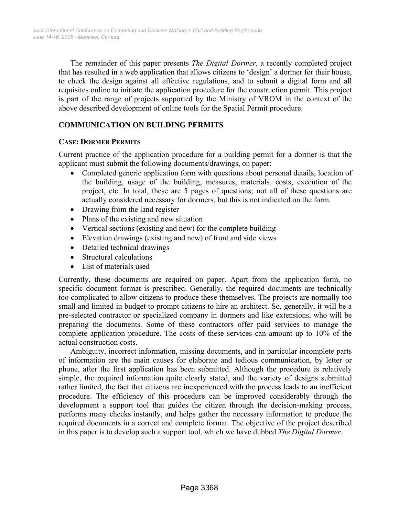The remainder of this paper presents *The Digital Dormer*, a recently completed project that has resulted in a web application that allows citizens to 'design' a dormer for their house, to check the design against all effective regulations, and to submit a digital form and all requisites online to initiate the application procedure for the construction permit. This project is part of the range of projects supported by the Ministry of VROM in the context of the above described development of online tools for the Spatial Permit procedure.

# **COMMUNICATION ON BUILDING PERMITS**

#### **CASE: DORMER PERMITS**

Current practice of the application procedure for a building permit for a dormer is that the applicant must submit the following documents/drawings, on paper:

- Completed generic application form with questions about personal details, location of the building, usage of the building, measures, materials, costs, execution of the project, etc. In total, these are 5 pages of questions; not all of these questions are actually considered necessary for dormers, but this is not indicated on the form.
- Drawing from the land register
- Plans of the existing and new situation
- Vertical sections (existing and new) for the complete building
- Elevation drawings (existing and new) of front and side views
- Detailed technical drawings
- Structural calculations
- List of materials used

Currently, these documents are required on paper. Apart from the application form, no specific document format is prescribed. Generally, the required documents are technically too complicated to allow citizens to produce these themselves. The projects are normally too small and limited in budget to prompt citizens to hire an architect. So, generally, it will be a pre-selected contractor or specialized company in dormers and like extensions, who will be preparing the documents. Some of these contractors offer paid services to manage the complete application procedure. The costs of these services can amount up to 10% of the actual construction costs.

Ambiguity, incorrect information, missing documents, and in particular incomplete parts of information are the main causes for elaborate and tedious communication, by letter or phone, after the first application has been submitted. Although the procedure is relatively simple, the required information quite clearly stated, and the variety of designs submitted rather limited, the fact that citizens are inexperienced with the process leads to an inefficient procedure. The efficiency of this procedure can be improved considerably through the development a support tool that guides the citizen through the decision-making process, performs many checks instantly, and helps gather the necessary information to produce the required documents in a correct and complete format. The objective of the project described in this paper is to develop such a support tool, which we have dubbed *The Digital Dormer*.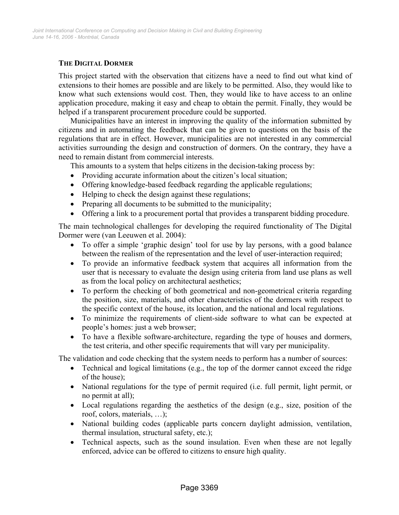# **THE DIGITAL DORMER**

This project started with the observation that citizens have a need to find out what kind of extensions to their homes are possible and are likely to be permitted. Also, they would like to know what such extensions would cost. Then, they would like to have access to an online application procedure, making it easy and cheap to obtain the permit. Finally, they would be helped if a transparent procurement procedure could be supported.

Municipalities have an interest in improving the quality of the information submitted by citizens and in automating the feedback that can be given to questions on the basis of the regulations that are in effect. However, municipalities are not interested in any commercial activities surrounding the design and construction of dormers. On the contrary, they have a need to remain distant from commercial interests.

This amounts to a system that helps citizens in the decision-taking process by:

- Providing accurate information about the citizen's local situation;
- Offering knowledge-based feedback regarding the applicable regulations;
- Helping to check the design against these regulations;
- Preparing all documents to be submitted to the municipality;
- Offering a link to a procurement portal that provides a transparent bidding procedure.

The main technological challenges for developing the required functionality of The Digital Dormer were (van Leeuwen et al. 2004):

- To offer a simple 'graphic design' tool for use by lay persons, with a good balance between the realism of the representation and the level of user-interaction required;
- To provide an informative feedback system that acquires all information from the user that is necessary to evaluate the design using criteria from land use plans as well as from the local policy on architectural aesthetics;
- To perform the checking of both geometrical and non-geometrical criteria regarding the position, size, materials, and other characteristics of the dormers with respect to the specific context of the house, its location, and the national and local regulations.
- To minimize the requirements of client-side software to what can be expected at people's homes: just a web browser;
- To have a flexible software-architecture, regarding the type of houses and dormers, the test criteria, and other specific requirements that will vary per municipality.

The validation and code checking that the system needs to perform has a number of sources:

- Technical and logical limitations (e.g., the top of the dormer cannot exceed the ridge of the house);
- National regulations for the type of permit required (i.e. full permit, light permit, or no permit at all);
- Local regulations regarding the aesthetics of the design (e.g., size, position of the roof, colors, materials, …);
- National building codes (applicable parts concern daylight admission, ventilation, thermal insulation, structural safety, etc.);
- Technical aspects, such as the sound insulation. Even when these are not legally enforced, advice can be offered to citizens to ensure high quality.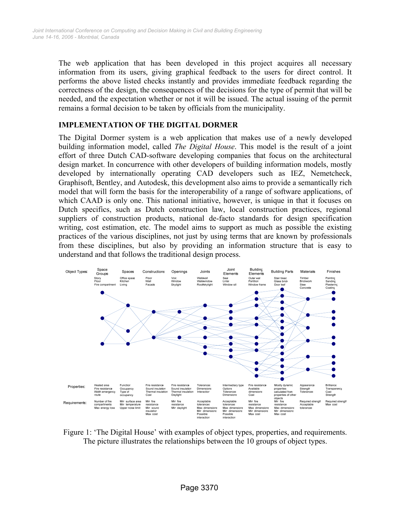The web application that has been developed in this project acquires all necessary information from its users, giving graphical feedback to the users for direct control. It performs the above listed checks instantly and provides immediate feedback regarding the correctness of the design, the consequences of the decisions for the type of permit that will be needed, and the expectation whether or not it will be issued. The actual issuing of the permit remains a formal decision to be taken by officials from the municipality.

# **IMPLEMENTATION OF THE DIGITAL DORMER**

The Digital Dormer system is a web application that makes use of a newly developed building information model, called *The Digital House*. This model is the result of a joint effort of three Dutch CAD-software developing companies that focus on the architectural design market. In concurrence with other developers of building information models, mostly developed by internationally operating CAD developers such as IEZ, Nemetcheck, Graphisoft, Bentley, and Autodesk, this development also aims to provide a semantically rich model that will form the basis for the interoperability of a range of software applications, of which CAAD is only one. This national initiative, however, is unique in that it focuses on Dutch specifics, such as Dutch construction law, local construction practices, regional suppliers of construction products, national de-facto standards for design specification writing, cost estimation, etc. The model aims to support as much as possible the existing practices of the various disciplines, not just by using terms that are known by professionals from these disciplines, but also by providing an information structure that is easy to understand and that follows the traditional design process.



Figure 1: 'The Digital House' with examples of object types, properties, and requirements. The picture illustrates the relationships between the 10 groups of object types.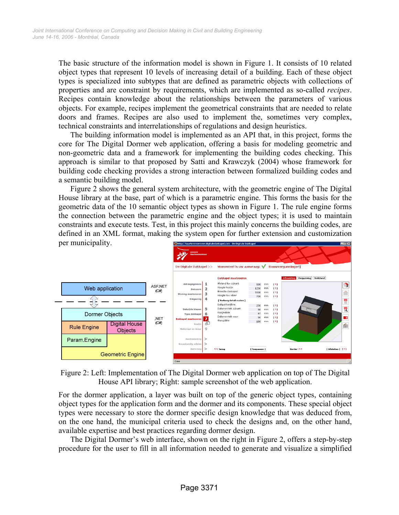The basic structure of the information model is shown in Figure 1. It consists of 10 related object types that represent 10 levels of increasing detail of a building. Each of these object types is specialized into subtypes that are defined as parametric objects with collections of properties and are constraint by requirements, which are implemented as so-called *recipes*. Recipes contain knowledge about the relationships between the parameters of various objects. For example, recipes implement the geometrical constraints that are needed to relate doors and frames. Recipes are also used to implement the, sometimes very complex, technical constraints and interrelationships of regulations and design heuristics.

The building information model is implemented as an API that, in this project, forms the core for The Digital Dormer web application, offering a basis for modeling geometric and non-geometric data and a framework for implementing the building codes checking. This approach is similar to that proposed by Satti and Krawczyk (2004) whose framework for building code checking provides a strong interaction between formalized building codes and a semantic building model.

Figure 2 shows the general system architecture, with the geometric engine of The Digital House library at the base, part of which is a parametric engine. This forms the basis for the geometric data of the 10 semantic object types as shown in Figure 1. The rule engine forms the connection between the parametric engine and the object types; it is used to maintain constraints and execute tests. Test, in this project this mainly concerns the building codes, are defined in an XML format, making the system open for further extension and customization per municipality.



Figure 2: Left: Implementation of The Digital Dormer web application on top of The Digital House API library; Right: sample screenshot of the web application.

For the dormer application, a layer was built on top of the generic object types, containing object types for the application form and the dormer and its components. These special object types were necessary to store the dormer specific design knowledge that was deduced from, on the one hand, the municipal criteria used to check the designs and, on the other hand, available expertise and best practices regarding dormer design.

The Digital Dormer's web interface, shown on the right in Figure 2, offers a step-by-step procedure for the user to fill in all information needed to generate and visualize a simplified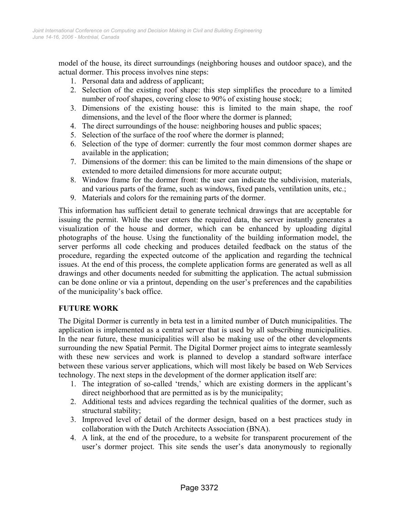model of the house, its direct surroundings (neighboring houses and outdoor space), and the actual dormer. This process involves nine steps:

- 1. Personal data and address of applicant;
- 2. Selection of the existing roof shape: this step simplifies the procedure to a limited number of roof shapes, covering close to 90% of existing house stock;
- 3. Dimensions of the existing house: this is limited to the main shape, the roof dimensions, and the level of the floor where the dormer is planned;
- 4. The direct surroundings of the house: neighboring houses and public spaces;
- 5. Selection of the surface of the roof where the dormer is planned;
- 6. Selection of the type of dormer: currently the four most common dormer shapes are available in the application;
- 7. Dimensions of the dormer: this can be limited to the main dimensions of the shape or extended to more detailed dimensions for more accurate output;
- 8. Window frame for the dormer front: the user can indicate the subdivision, materials, and various parts of the frame, such as windows, fixed panels, ventilation units, etc.;
- 9. Materials and colors for the remaining parts of the dormer.

This information has sufficient detail to generate technical drawings that are acceptable for issuing the permit. While the user enters the required data, the server instantly generates a visualization of the house and dormer, which can be enhanced by uploading digital photographs of the house. Using the functionality of the building information model, the server performs all code checking and produces detailed feedback on the status of the procedure, regarding the expected outcome of the application and regarding the technical issues. At the end of this process, the complete application forms are generated as well as all drawings and other documents needed for submitting the application. The actual submission can be done online or via a printout, depending on the user's preferences and the capabilities of the municipality's back office.

# **FUTURE WORK**

The Digital Dormer is currently in beta test in a limited number of Dutch municipalities. The application is implemented as a central server that is used by all subscribing municipalities. In the near future, these municipalities will also be making use of the other developments surrounding the new Spatial Permit. The Digital Dormer project aims to integrate seamlessly with these new services and work is planned to develop a standard software interface between these various server applications, which will most likely be based on Web Services technology. The next steps in the development of the dormer application itself are:

- 1. The integration of so-called 'trends,' which are existing dormers in the applicant's direct neighborhood that are permitted as is by the municipality;
- 2. Additional tests and advices regarding the technical qualities of the dormer, such as structural stability;
- 3. Improved level of detail of the dormer design, based on a best practices study in collaboration with the Dutch Architects Association (BNA).
- 4. A link, at the end of the procedure, to a website for transparent procurement of the user's dormer project. This site sends the user's data anonymously to regionally